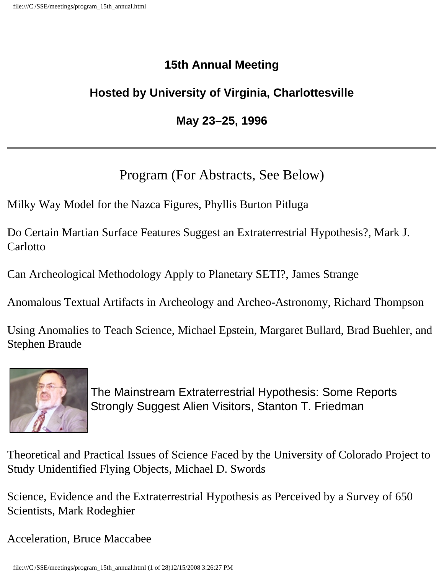# **15th Annual Meeting**

# **Hosted by University of Virginia, Charlottesville**

# **May 23–25, 1996**

# Program (For Abstracts, See Below)

Milky Way Model for the Nazca Figures, Phyllis Burton Pitluga

Do Certain Martian Surface Features Suggest an Extraterrestrial Hypothesis?, Mark J. **Carlotto** 

Can Archeological Methodology Apply to Planetary SETI?, James Strange

Anomalous Textual Artifacts in Archeology and Archeo-Astronomy, Richard Thompson

Using Anomalies to Teach Science, Michael Epstein, Margaret Bullard, Brad Buehler, and Stephen Braude



The Mainstream Extraterrestrial Hypothesis: Some Reports Strongly Suggest Alien Visitors, Stanton T. Friedman

Theoretical and Practical Issues of Science Faced by the University of Colorado Project to Study Unidentified Flying Objects, Michael D. Swords

Science, Evidence and the Extraterrestrial Hypothesis as Perceived by a Survey of 650 Scientists, Mark Rodeghier

Acceleration, Bruce Maccabee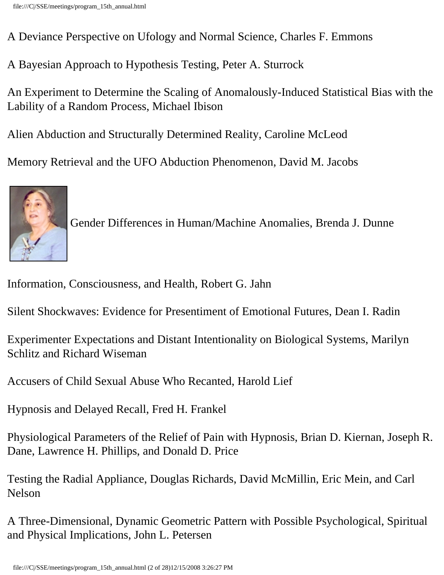A Deviance Perspective on Ufology and Normal Science, Charles F. Emmons

A Bayesian Approach to Hypothesis Testing, Peter A. Sturrock

An Experiment to Determine the Scaling of Anomalously-Induced Statistical Bias with the Lability of a Random Process, Michael Ibison

Alien Abduction and Structurally Determined Reality, Caroline McLeod

Memory Retrieval and the UFO Abduction Phenomenon, David M. Jacobs

![](_page_1_Picture_6.jpeg)

Gender Differences in Human/Machine Anomalies, Brenda J. Dunne

Information, Consciousness, and Health, Robert G. Jahn

Silent Shockwaves: Evidence for Presentiment of Emotional Futures, Dean I. Radin

Experimenter Expectations and Distant Intentionality on Biological Systems, Marilyn Schlitz and Richard Wiseman

Accusers of Child Sexual Abuse Who Recanted, Harold Lief

Hypnosis and Delayed Recall, Fred H. Frankel

Physiological Parameters of the Relief of Pain with Hypnosis, Brian D. Kiernan, Joseph R. Dane, Lawrence H. Phillips, and Donald D. Price

Testing the Radial Appliance, Douglas Richards, David McMillin, Eric Mein, and Carl Nelson

A Three-Dimensional, Dynamic Geometric Pattern with Possible Psychological, Spiritual and Physical Implications, John L. Petersen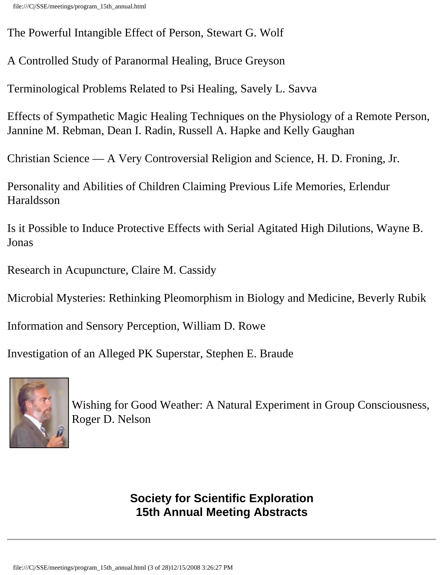The Powerful Intangible Effect of Person, Stewart G. Wolf

A Controlled Study of Paranormal Healing, Bruce Greyson

Terminological Problems Related to Psi Healing, Savely L. Savva

Effects of Sympathetic Magic Healing Techniques on the Physiology of a Remote Person, Jannine M. Rebman, Dean I. Radin, Russell A. Hapke and Kelly Gaughan

Christian Science — A Very Controversial Religion and Science, H. D. Froning, Jr.

Personality and Abilities of Children Claiming Previous Life Memories, Erlendur Haraldsson

Is it Possible to Induce Protective Effects with Serial Agitated High Dilutions, Wayne B. Jonas

Research in Acupuncture, Claire M. Cassidy

Microbial Mysteries: Rethinking Pleomorphism in Biology and Medicine, Beverly Rubik

Information and Sensory Perception, William D. Rowe

Investigation of an Alleged PK Superstar, Stephen E. Braude

![](_page_2_Picture_12.jpeg)

Wishing for Good Weather: A Natural Experiment in Group Consciousness, Roger D. Nelson

> **Society for Scientific Exploration 15th Annual Meeting Abstracts**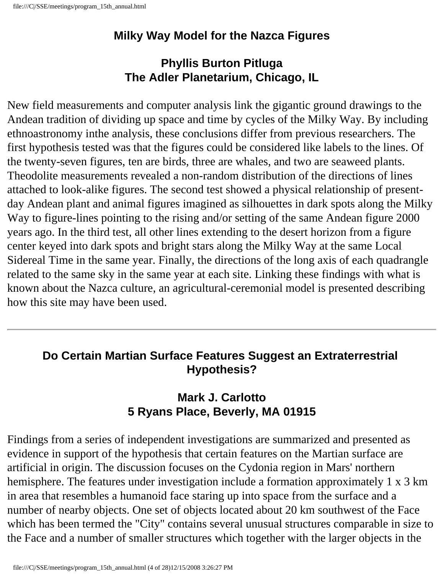### **Milky Way Model for the Nazca Figures**

# **Phyllis Burton Pitluga The Adler Planetarium, Chicago, IL**

New field measurements and computer analysis link the gigantic ground drawings to the Andean tradition of dividing up space and time by cycles of the Milky Way. By including ethnoastronomy inthe analysis, these conclusions differ from previous researchers. The first hypothesis tested was that the figures could be considered like labels to the lines. Of the twenty-seven figures, ten are birds, three are whales, and two are seaweed plants. Theodolite measurements revealed a non-random distribution of the directions of lines attached to look-alike figures. The second test showed a physical relationship of presentday Andean plant and animal figures imagined as silhouettes in dark spots along the Milky Way to figure-lines pointing to the rising and/or setting of the same Andean figure 2000 years ago. In the third test, all other lines extending to the desert horizon from a figure center keyed into dark spots and bright stars along the Milky Way at the same Local Sidereal Time in the same year. Finally, the directions of the long axis of each quadrangle related to the same sky in the same year at each site. Linking these findings with what is known about the Nazca culture, an agricultural-ceremonial model is presented describing how this site may have been used.

### **Do Certain Martian Surface Features Suggest an Extraterrestrial Hypothesis?**

### **Mark J. Carlotto 5 Ryans Place, Beverly, MA 01915**

Findings from a series of independent investigations are summarized and presented as evidence in support of the hypothesis that certain features on the Martian surface are artificial in origin. The discussion focuses on the Cydonia region in Mars' northern hemisphere. The features under investigation include a formation approximately 1 x 3 km in area that resembles a humanoid face staring up into space from the surface and a number of nearby objects. One set of objects located about 20 km southwest of the Face which has been termed the "City" contains several unusual structures comparable in size to the Face and a number of smaller structures which together with the larger objects in the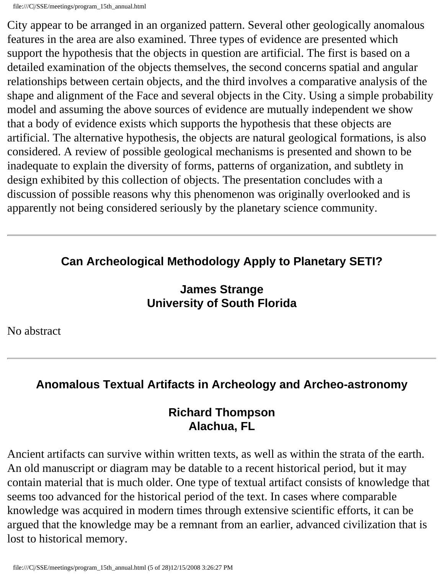City appear to be arranged in an organized pattern. Several other geologically anomalous features in the area are also examined. Three types of evidence are presented which support the hypothesis that the objects in question are artificial. The first is based on a detailed examination of the objects themselves, the second concerns spatial and angular relationships between certain objects, and the third involves a comparative analysis of the shape and alignment of the Face and several objects in the City. Using a simple probability model and assuming the above sources of evidence are mutually independent we show that a body of evidence exists which supports the hypothesis that these objects are artificial. The alternative hypothesis, the objects are natural geological formations, is also considered. A review of possible geological mechanisms is presented and shown to be inadequate to explain the diversity of forms, patterns of organization, and subtlety in design exhibited by this collection of objects. The presentation concludes with a discussion of possible reasons why this phenomenon was originally overlooked and is apparently not being considered seriously by the planetary science community.

# **Can Archeological Methodology Apply to Planetary SETI?**

### **James Strange University of South Florida**

No abstract

# **Anomalous Textual Artifacts in Archeology and Archeo-astronomy**

#### **Richard Thompson Alachua, FL**

Ancient artifacts can survive within written texts, as well as within the strata of the earth. An old manuscript or diagram may be datable to a recent historical period, but it may contain material that is much older. One type of textual artifact consists of knowledge that seems too advanced for the historical period of the text. In cases where comparable knowledge was acquired in modern times through extensive scientific efforts, it can be argued that the knowledge may be a remnant from an earlier, advanced civilization that is lost to historical memory.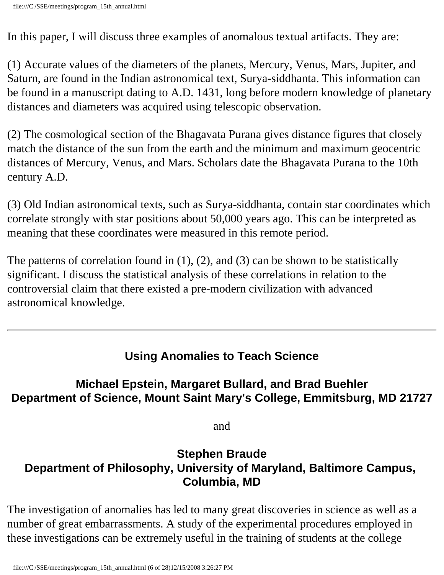In this paper, I will discuss three examples of anomalous textual artifacts. They are:

(1) Accurate values of the diameters of the planets, Mercury, Venus, Mars, Jupiter, and Saturn, are found in the Indian astronomical text, Surya-siddhanta. This information can be found in a manuscript dating to A.D. 1431, long before modern knowledge of planetary distances and diameters was acquired using telescopic observation.

(2) The cosmological section of the Bhagavata Purana gives distance figures that closely match the distance of the sun from the earth and the minimum and maximum geocentric distances of Mercury, Venus, and Mars. Scholars date the Bhagavata Purana to the 10th century A.D.

(3) Old Indian astronomical texts, such as Surya-siddhanta, contain star coordinates which correlate strongly with star positions about 50,000 years ago. This can be interpreted as meaning that these coordinates were measured in this remote period.

The patterns of correlation found in  $(1)$ ,  $(2)$ , and  $(3)$  can be shown to be statistically significant. I discuss the statistical analysis of these correlations in relation to the controversial claim that there existed a pre-modern civilization with advanced astronomical knowledge.

# **Using Anomalies to Teach Science**

### **Michael Epstein, Margaret Bullard, and Brad Buehler Department of Science, Mount Saint Mary's College, Emmitsburg, MD 21727**

and

### **Stephen Braude Department of Philosophy, University of Maryland, Baltimore Campus, Columbia, MD**

The investigation of anomalies has led to many great discoveries in science as well as a number of great embarrassments. A study of the experimental procedures employed in these investigations can be extremely useful in the training of students at the college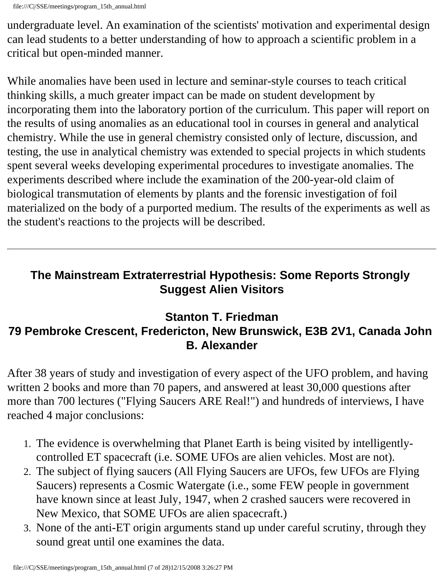undergraduate level. An examination of the scientists' motivation and experimental design can lead students to a better understanding of how to approach a scientific problem in a critical but open-minded manner.

While anomalies have been used in lecture and seminar-style courses to teach critical thinking skills, a much greater impact can be made on student development by incorporating them into the laboratory portion of the curriculum. This paper will report on the results of using anomalies as an educational tool in courses in general and analytical chemistry. While the use in general chemistry consisted only of lecture, discussion, and testing, the use in analytical chemistry was extended to special projects in which students spent several weeks developing experimental procedures to investigate anomalies. The experiments described where include the examination of the 200-year-old claim of biological transmutation of elements by plants and the forensic investigation of foil materialized on the body of a purported medium. The results of the experiments as well as the student's reactions to the projects will be described.

# **The Mainstream Extraterrestrial Hypothesis: Some Reports Strongly Suggest Alien Visitors**

### **Stanton T. Friedman 79 Pembroke Crescent, Fredericton, New Brunswick, E3B 2V1, Canada John B. Alexander**

After 38 years of study and investigation of every aspect of the UFO problem, and having written 2 books and more than 70 papers, and answered at least 30,000 questions after more than 700 lectures ("Flying Saucers ARE Real!") and hundreds of interviews, I have reached 4 major conclusions:

- 1. The evidence is overwhelming that Planet Earth is being visited by intelligentlycontrolled ET spacecraft (i.e. SOME UFOs are alien vehicles. Most are not).
- 2. The subject of flying saucers (All Flying Saucers are UFOs, few UFOs are Flying Saucers) represents a Cosmic Watergate (i.e., some FEW people in government have known since at least July, 1947, when 2 crashed saucers were recovered in New Mexico, that SOME UFOs are alien spacecraft.)
- 3. None of the anti-ET origin arguments stand up under careful scrutiny, through they sound great until one examines the data.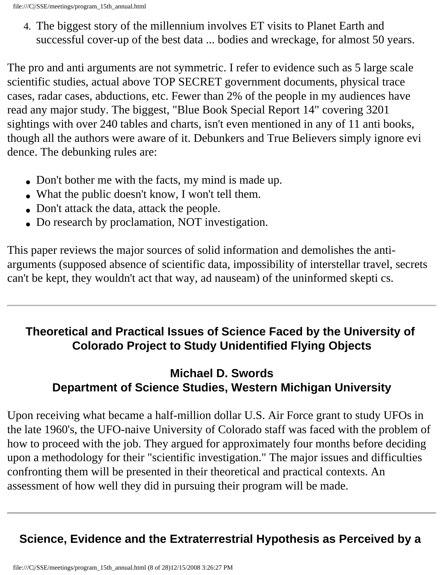4. The biggest story of the millennium involves ET visits to Planet Earth and successful cover-up of the best data ... bodies and wreckage, for almost 50 years.

The pro and anti arguments are not symmetric. I refer to evidence such as 5 large scale scientific studies, actual above TOP SECRET government documents, physical trace cases, radar cases, abductions, etc. Fewer than 2% of the people in my audiences have read any major study. The biggest, "Blue Book Special Report 14" covering 3201 sightings with over 240 tables and charts, isn't even mentioned in any of 11 anti books, though all the authors were aware of it. Debunkers and True Believers simply ignore evi dence. The debunking rules are:

- Don't bother me with the facts, my mind is made up.
- What the public doesn't know, I won't tell them.
- Don't attack the data, attack the people.
- Do research by proclamation, NOT investigation.

This paper reviews the major sources of solid information and demolishes the antiarguments (supposed absence of scientific data, impossibility of interstellar travel, secrets can't be kept, they wouldn't act that way, ad nauseam) of the uninformed skepti cs.

# **Theoretical and Practical Issues of Science Faced by the University of Colorado Project to Study Unidentified Flying Objects**

# **Michael D. Swords Department of Science Studies, Western Michigan University**

Upon receiving what became a half-million dollar U.S. Air Force grant to study UFOs in the late 1960's, the UFO-naive University of Colorado staff was faced with the problem of how to proceed with the job. They argued for approximately four months before deciding upon a methodology for their "scientific investigation." The major issues and difficulties confronting them will be presented in their theoretical and practical contexts. An assessment of how well they did in pursuing their program will be made.

# **Science, Evidence and the Extraterrestrial Hypothesis as Perceived by a**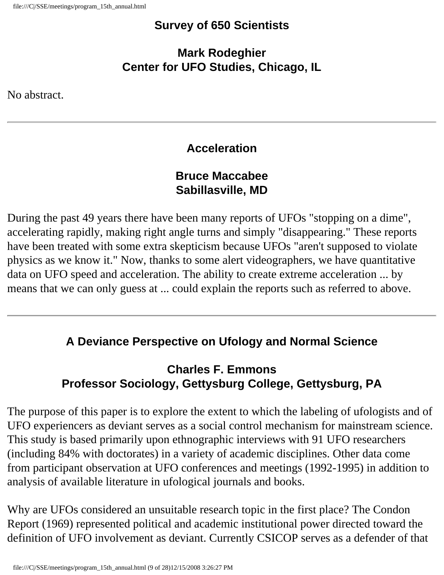#### **Survey of 650 Scientists**

**Mark Rodeghier Center for UFO Studies, Chicago, IL** 

No abstract.

# **Acceleration**

### **Bruce Maccabee Sabillasville, MD**

During the past 49 years there have been many reports of UFOs "stopping on a dime", accelerating rapidly, making right angle turns and simply "disappearing." These reports have been treated with some extra skepticism because UFOs "aren't supposed to violate physics as we know it." Now, thanks to some alert videographers, we have quantitative data on UFO speed and acceleration. The ability to create extreme acceleration ... by means that we can only guess at ... could explain the reports such as referred to above.

# **A Deviance Perspective on Ufology and Normal Science**

# **Charles F. Emmons Professor Sociology, Gettysburg College, Gettysburg, PA**

The purpose of this paper is to explore the extent to which the labeling of ufologists and of UFO experiencers as deviant serves as a social control mechanism for mainstream science. This study is based primarily upon ethnographic interviews with 91 UFO researchers (including 84% with doctorates) in a variety of academic disciplines. Other data come from participant observation at UFO conferences and meetings (1992-1995) in addition to analysis of available literature in ufological journals and books.

Why are UFOs considered an unsuitable research topic in the first place? The Condon Report (1969) represented political and academic institutional power directed toward the definition of UFO involvement as deviant. Currently CSICOP serves as a defender of that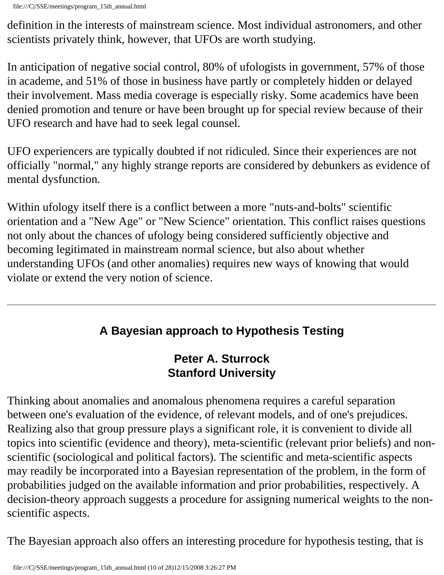definition in the interests of mainstream science. Most individual astronomers, and other scientists privately think, however, that UFOs are worth studying.

In anticipation of negative social control, 80% of ufologists in government, 57% of those in academe, and 51% of those in business have partly or completely hidden or delayed their involvement. Mass media coverage is especially risky. Some academics have been denied promotion and tenure or have been brought up for special review because of their UFO research and have had to seek legal counsel.

UFO experiencers are typically doubted if not ridiculed. Since their experiences are not officially "normal," any highly strange reports are considered by debunkers as evidence of mental dysfunction.

Within ufology itself there is a conflict between a more "nuts-and-bolts" scientific orientation and a "New Age" or "New Science" orientation. This conflict raises questions not only about the chances of ufology being considered sufficiently objective and becoming legitimated in mainstream normal science, but also about whether understanding UFOs (and other anomalies) requires new ways of knowing that would violate or extend the very notion of science.

# **A Bayesian approach to Hypothesis Testing**

# **Peter A. Sturrock Stanford University**

Thinking about anomalies and anomalous phenomena requires a careful separation between one's evaluation of the evidence, of relevant models, and of one's prejudices. Realizing also that group pressure plays a significant role, it is convenient to divide all topics into scientific (evidence and theory), meta-scientific (relevant prior beliefs) and nonscientific (sociological and political factors). The scientific and meta-scientific aspects may readily be incorporated into a Bayesian representation of the problem, in the form of probabilities judged on the available information and prior probabilities, respectively. A decision-theory approach suggests a procedure for assigning numerical weights to the nonscientific aspects.

The Bayesian approach also offers an interesting procedure for hypothesis testing, that is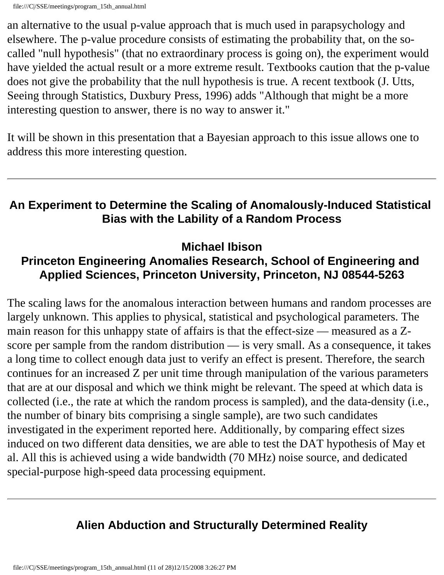an alternative to the usual p-value approach that is much used in parapsychology and elsewhere. The p-value procedure consists of estimating the probability that, on the socalled "null hypothesis" (that no extraordinary process is going on), the experiment would have yielded the actual result or a more extreme result. Textbooks caution that the p-value does not give the probability that the null hypothesis is true. A recent textbook (J. Utts, Seeing through Statistics, Duxbury Press, 1996) adds "Although that might be a more interesting question to answer, there is no way to answer it."

It will be shown in this presentation that a Bayesian approach to this issue allows one to address this more interesting question.

#### **An Experiment to Determine the Scaling of Anomalously-Induced Statistical Bias with the Lability of a Random Process**

**Michael Ibison** 

### **Princeton Engineering Anomalies Research, School of Engineering and Applied Sciences, Princeton University, Princeton, NJ 08544-5263**

The scaling laws for the anomalous interaction between humans and random processes are largely unknown. This applies to physical, statistical and psychological parameters. The main reason for this unhappy state of affairs is that the effect-size — measured as a Zscore per sample from the random distribution — is very small. As a consequence, it takes a long time to collect enough data just to verify an effect is present. Therefore, the search continues for an increased Z per unit time through manipulation of the various parameters that are at our disposal and which we think might be relevant. The speed at which data is collected (i.e., the rate at which the random process is sampled), and the data-density (i.e., the number of binary bits comprising a single sample), are two such candidates investigated in the experiment reported here. Additionally, by comparing effect sizes induced on two different data densities, we are able to test the DAT hypothesis of May et al. All this is achieved using a wide bandwidth (70 MHz) noise source, and dedicated special-purpose high-speed data processing equipment.

# **Alien Abduction and Structurally Determined Reality**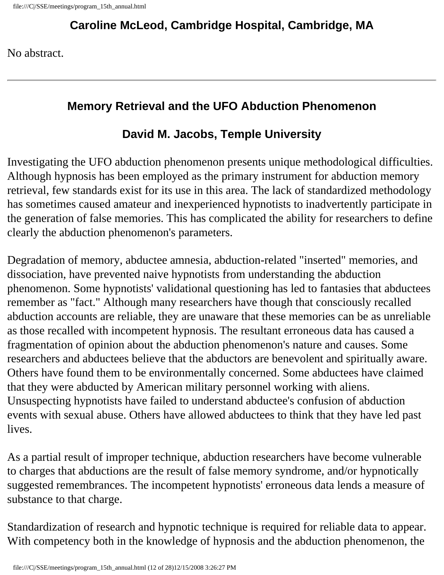### **Caroline McLeod, Cambridge Hospital, Cambridge, MA**

No abstract.

#### **Memory Retrieval and the UFO Abduction Phenomenon**

# **David M. Jacobs, Temple University**

Investigating the UFO abduction phenomenon presents unique methodological difficulties. Although hypnosis has been employed as the primary instrument for abduction memory retrieval, few standards exist for its use in this area. The lack of standardized methodology has sometimes caused amateur and inexperienced hypnotists to inadvertently participate in the generation of false memories. This has complicated the ability for researchers to define clearly the abduction phenomenon's parameters.

Degradation of memory, abductee amnesia, abduction-related "inserted" memories, and dissociation, have prevented naive hypnotists from understanding the abduction phenomenon. Some hypnotists' validational questioning has led to fantasies that abductees remember as "fact." Although many researchers have though that consciously recalled abduction accounts are reliable, they are unaware that these memories can be as unreliable as those recalled with incompetent hypnosis. The resultant erroneous data has caused a fragmentation of opinion about the abduction phenomenon's nature and causes. Some researchers and abductees believe that the abductors are benevolent and spiritually aware. Others have found them to be environmentally concerned. Some abductees have claimed that they were abducted by American military personnel working with aliens. Unsuspecting hypnotists have failed to understand abductee's confusion of abduction events with sexual abuse. Others have allowed abductees to think that they have led past lives.

As a partial result of improper technique, abduction researchers have become vulnerable to charges that abductions are the result of false memory syndrome, and/or hypnotically suggested remembrances. The incompetent hypnotists' erroneous data lends a measure of substance to that charge.

Standardization of research and hypnotic technique is required for reliable data to appear. With competency both in the knowledge of hypnosis and the abduction phenomenon, the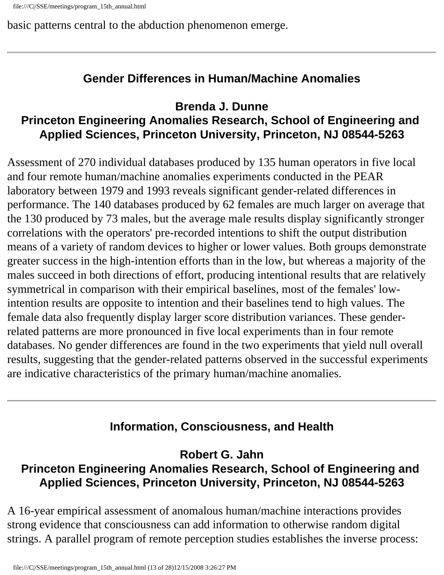basic patterns central to the abduction phenomenon emerge.

# **Gender Differences in Human/Machine Anomalies**

#### **Brenda J. Dunne Princeton Engineering Anomalies Research, School of Engineering and Applied Sciences, Princeton University, Princeton, NJ 08544-5263**

Assessment of 270 individual databases produced by 135 human operators in five local and four remote human/machine anomalies experiments conducted in the PEAR laboratory between 1979 and 1993 reveals significant gender-related differences in performance. The 140 databases produced by 62 females are much larger on average that the 130 produced by 73 males, but the average male results display significantly stronger correlations with the operators' pre-recorded intentions to shift the output distribution means of a variety of random devices to higher or lower values. Both groups demonstrate greater success in the high-intention efforts than in the low, but whereas a majority of the males succeed in both directions of effort, producing intentional results that are relatively symmetrical in comparison with their empirical baselines, most of the females' lowintention results are opposite to intention and their baselines tend to high values. The female data also frequently display larger score distribution variances. These genderrelated patterns are more pronounced in five local experiments than in four remote databases. No gender differences are found in the two experiments that yield null overall results, suggesting that the gender-related patterns observed in the successful experiments are indicative characteristics of the primary human/machine anomalies.

# **Information, Consciousness, and Health**

**Robert G. Jahn Princeton Engineering Anomalies Research, School of Engineering and Applied Sciences, Princeton University, Princeton, NJ 08544-5263** 

A 16-year empirical assessment of anomalous human/machine interactions provides strong evidence that consciousness can add information to otherwise random digital strings. A parallel program of remote perception studies establishes the inverse process: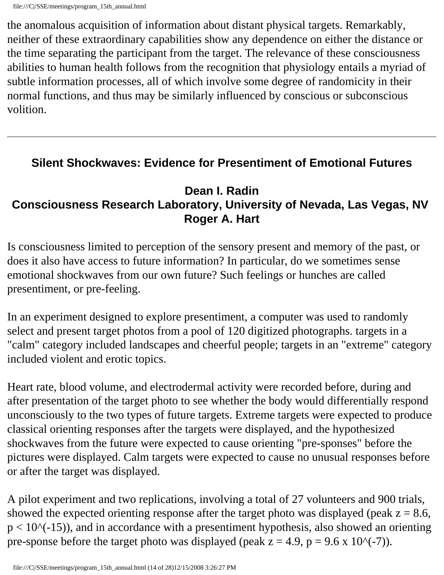the anomalous acquisition of information about distant physical targets. Remarkably, neither of these extraordinary capabilities show any dependence on either the distance or the time separating the participant from the target. The relevance of these consciousness abilities to human health follows from the recognition that physiology entails a myriad of subtle information processes, all of which involve some degree of randomicity in their normal functions, and thus may be similarly influenced by conscious or subconscious volition.

#### **Silent Shockwaves: Evidence for Presentiment of Emotional Futures**

#### **Dean I. Radin Consciousness Research Laboratory, University of Nevada, Las Vegas, NV Roger A. Hart**

Is consciousness limited to perception of the sensory present and memory of the past, or does it also have access to future information? In particular, do we sometimes sense emotional shockwaves from our own future? Such feelings or hunches are called presentiment, or pre-feeling.

In an experiment designed to explore presentiment, a computer was used to randomly select and present target photos from a pool of 120 digitized photographs. targets in a "calm" category included landscapes and cheerful people; targets in an "extreme" category included violent and erotic topics.

Heart rate, blood volume, and electrodermal activity were recorded before, during and after presentation of the target photo to see whether the body would differentially respond unconsciously to the two types of future targets. Extreme targets were expected to produce classical orienting responses after the targets were displayed, and the hypothesized shockwaves from the future were expected to cause orienting "pre-sponses" before the pictures were displayed. Calm targets were expected to cause no unusual responses before or after the target was displayed.

A pilot experiment and two replications, involving a total of 27 volunteers and 900 trials, showed the expected orienting response after the target photo was displayed (peak  $z = 8.6$ ,  $p < 10$ <sup> $\land$ </sup> $(-15)$ ), and in accordance with a presentiment hypothesis, also showed an orienting pre-sponse before the target photo was displayed (peak  $z = 4.9$ ,  $p = 9.6 \times 10^{(-7)}$ ).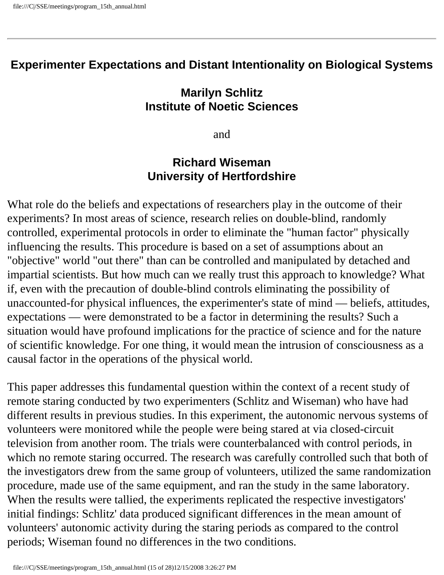#### **Experimenter Expectations and Distant Intentionality on Biological Systems**

#### **Marilyn Schlitz Institute of Noetic Sciences**

and

#### **Richard Wiseman University of Hertfordshire**

What role do the beliefs and expectations of researchers play in the outcome of their experiments? In most areas of science, research relies on double-blind, randomly controlled, experimental protocols in order to eliminate the "human factor" physically influencing the results. This procedure is based on a set of assumptions about an "objective" world "out there" than can be controlled and manipulated by detached and impartial scientists. But how much can we really trust this approach to knowledge? What if, even with the precaution of double-blind controls eliminating the possibility of unaccounted-for physical influences, the experimenter's state of mind — beliefs, attitudes, expectations — were demonstrated to be a factor in determining the results? Such a situation would have profound implications for the practice of science and for the nature of scientific knowledge. For one thing, it would mean the intrusion of consciousness as a causal factor in the operations of the physical world.

This paper addresses this fundamental question within the context of a recent study of remote staring conducted by two experimenters (Schlitz and Wiseman) who have had different results in previous studies. In this experiment, the autonomic nervous systems of volunteers were monitored while the people were being stared at via closed-circuit television from another room. The trials were counterbalanced with control periods, in which no remote staring occurred. The research was carefully controlled such that both of the investigators drew from the same group of volunteers, utilized the same randomization procedure, made use of the same equipment, and ran the study in the same laboratory. When the results were tallied, the experiments replicated the respective investigators' initial findings: Schlitz' data produced significant differences in the mean amount of volunteers' autonomic activity during the staring periods as compared to the control periods; Wiseman found no differences in the two conditions.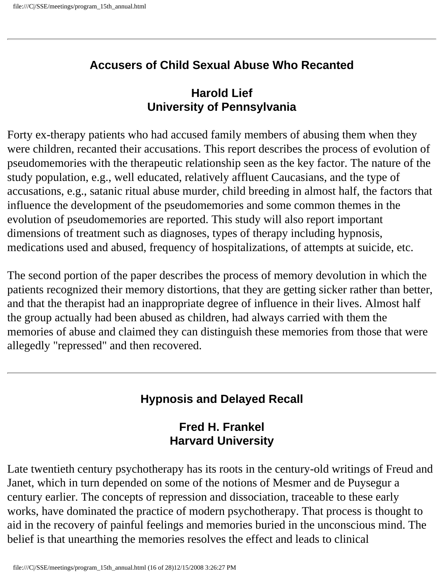#### **Accusers of Child Sexual Abuse Who Recanted**

### **Harold Lief University of Pennsylvania**

Forty ex-therapy patients who had accused family members of abusing them when they were children, recanted their accusations. This report describes the process of evolution of pseudomemories with the therapeutic relationship seen as the key factor. The nature of the study population, e.g., well educated, relatively affluent Caucasians, and the type of accusations, e.g., satanic ritual abuse murder, child breeding in almost half, the factors that influence the development of the pseudomemories and some common themes in the evolution of pseudomemories are reported. This study will also report important dimensions of treatment such as diagnoses, types of therapy including hypnosis, medications used and abused, frequency of hospitalizations, of attempts at suicide, etc.

The second portion of the paper describes the process of memory devolution in which the patients recognized their memory distortions, that they are getting sicker rather than better, and that the therapist had an inappropriate degree of influence in their lives. Almost half the group actually had been abused as children, had always carried with them the memories of abuse and claimed they can distinguish these memories from those that were allegedly "repressed" and then recovered.

# **Hypnosis and Delayed Recall**

### **Fred H. Frankel Harvard University**

Late twentieth century psychotherapy has its roots in the century-old writings of Freud and Janet, which in turn depended on some of the notions of Mesmer and de Puysegur a century earlier. The concepts of repression and dissociation, traceable to these early works, have dominated the practice of modern psychotherapy. That process is thought to aid in the recovery of painful feelings and memories buried in the unconscious mind. The belief is that unearthing the memories resolves the effect and leads to clinical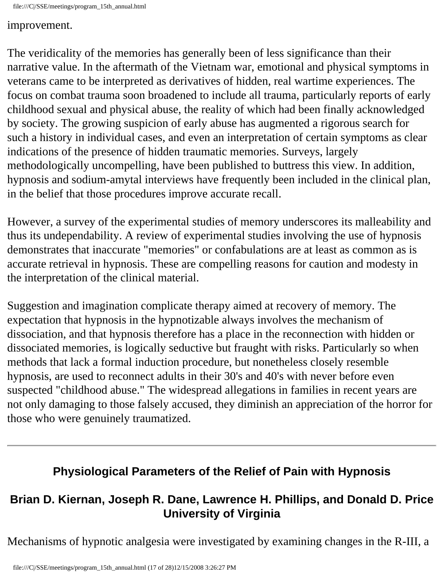file:///C|/SSE/meetings/program\_15th\_annual.html

#### improvement.

The veridicality of the memories has generally been of less significance than their narrative value. In the aftermath of the Vietnam war, emotional and physical symptoms in veterans came to be interpreted as derivatives of hidden, real wartime experiences. The focus on combat trauma soon broadened to include all trauma, particularly reports of early childhood sexual and physical abuse, the reality of which had been finally acknowledged by society. The growing suspicion of early abuse has augmented a rigorous search for such a history in individual cases, and even an interpretation of certain symptoms as clear indications of the presence of hidden traumatic memories. Surveys, largely methodologically uncompelling, have been published to buttress this view. In addition, hypnosis and sodium-amytal interviews have frequently been included in the clinical plan, in the belief that those procedures improve accurate recall.

However, a survey of the experimental studies of memory underscores its malleability and thus its undependability. A review of experimental studies involving the use of hypnosis demonstrates that inaccurate "memories" or confabulations are at least as common as is accurate retrieval in hypnosis. These are compelling reasons for caution and modesty in the interpretation of the clinical material.

Suggestion and imagination complicate therapy aimed at recovery of memory. The expectation that hypnosis in the hypnotizable always involves the mechanism of dissociation, and that hypnosis therefore has a place in the reconnection with hidden or dissociated memories, is logically seductive but fraught with risks. Particularly so when methods that lack a formal induction procedure, but nonetheless closely resemble hypnosis, are used to reconnect adults in their 30's and 40's with never before even suspected "childhood abuse." The widespread allegations in families in recent years are not only damaging to those falsely accused, they diminish an appreciation of the horror for those who were genuinely traumatized.

#### **Physiological Parameters of the Relief of Pain with Hypnosis**

# **Brian D. Kiernan, Joseph R. Dane, Lawrence H. Phillips, and Donald D. Price University of Virginia**

Mechanisms of hypnotic analgesia were investigated by examining changes in the R-III, a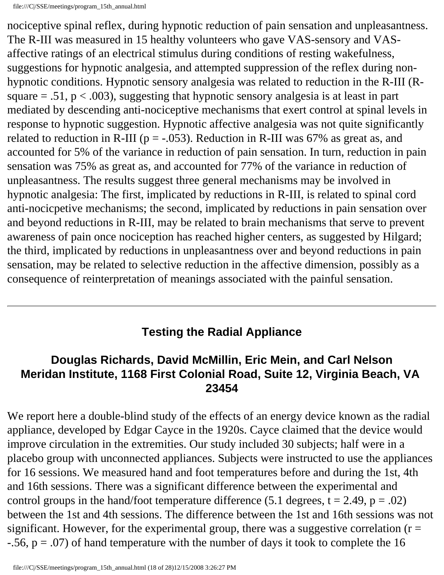nociceptive spinal reflex, during hypnotic reduction of pain sensation and unpleasantness. The R-III was measured in 15 healthy volunteers who gave VAS-sensory and VASaffective ratings of an electrical stimulus during conditions of resting wakefulness, suggestions for hypnotic analgesia, and attempted suppression of the reflex during nonhypnotic conditions. Hypnotic sensory analgesia was related to reduction in the R-III (Rsquare  $= .51$ ,  $p < .003$ ), suggesting that hypnotic sensory analgesia is at least in part mediated by descending anti-nociceptive mechanisms that exert control at spinal levels in response to hypnotic suggestion. Hypnotic affective analgesia was not quite significantly related to reduction in R-III ( $p = -.053$ ). Reduction in R-III was 67% as great as, and accounted for 5% of the variance in reduction of pain sensation. In turn, reduction in pain sensation was 75% as great as, and accounted for 77% of the variance in reduction of unpleasantness. The results suggest three general mechanisms may be involved in hypnotic analgesia: The first, implicated by reductions in R-III, is related to spinal cord anti-nocicpetive mechanisms; the second, implicated by reductions in pain sensation over and beyond reductions in R-III, may be related to brain mechanisms that serve to prevent awareness of pain once nociception has reached higher centers, as suggested by Hilgard; the third, implicated by reductions in unpleasantness over and beyond reductions in pain sensation, may be related to selective reduction in the affective dimension, possibly as a consequence of reinterpretation of meanings associated with the painful sensation.

#### **Testing the Radial Appliance**

#### **Douglas Richards, David McMillin, Eric Mein, and Carl Nelson Meridan Institute, 1168 First Colonial Road, Suite 12, Virginia Beach, VA 23454**

We report here a double-blind study of the effects of an energy device known as the radial appliance, developed by Edgar Cayce in the 1920s. Cayce claimed that the device would improve circulation in the extremities. Our study included 30 subjects; half were in a placebo group with unconnected appliances. Subjects were instructed to use the appliances for 16 sessions. We measured hand and foot temperatures before and during the 1st, 4th and 16th sessions. There was a significant difference between the experimental and control groups in the hand/foot temperature difference (5.1 degrees,  $t = 2.49$ ,  $p = .02$ ) between the 1st and 4th sessions. The difference between the 1st and 16th sessions was not significant. However, for the experimental group, there was a suggestive correlation ( $r =$  $-0.56$ ,  $p = 0.07$ ) of hand temperature with the number of days it took to complete the 16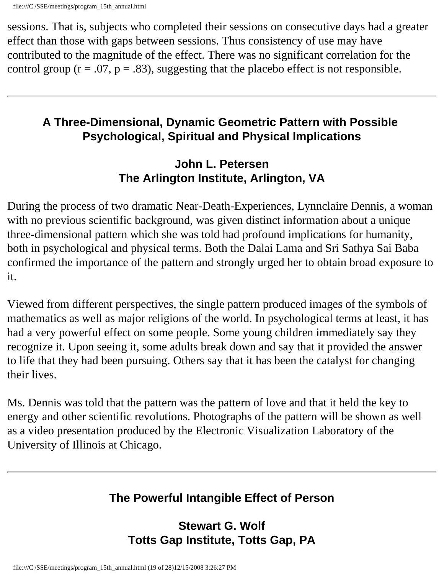sessions. That is, subjects who completed their sessions on consecutive days had a greater effect than those with gaps between sessions. Thus consistency of use may have contributed to the magnitude of the effect. There was no significant correlation for the control group ( $r = .07$ ,  $p = .83$ ), suggesting that the placebo effect is not responsible.

# **A Three-Dimensional, Dynamic Geometric Pattern with Possible Psychological, Spiritual and Physical Implications**

# **John L. Petersen The Arlington Institute, Arlington, VA**

During the process of two dramatic Near-Death-Experiences, Lynnclaire Dennis, a woman with no previous scientific background, was given distinct information about a unique three-dimensional pattern which she was told had profound implications for humanity, both in psychological and physical terms. Both the Dalai Lama and Sri Sathya Sai Baba confirmed the importance of the pattern and strongly urged her to obtain broad exposure to it.

Viewed from different perspectives, the single pattern produced images of the symbols of mathematics as well as major religions of the world. In psychological terms at least, it has had a very powerful effect on some people. Some young children immediately say they recognize it. Upon seeing it, some adults break down and say that it provided the answer to life that they had been pursuing. Others say that it has been the catalyst for changing their lives.

Ms. Dennis was told that the pattern was the pattern of love and that it held the key to energy and other scientific revolutions. Photographs of the pattern will be shown as well as a video presentation produced by the Electronic Visualization Laboratory of the University of Illinois at Chicago.

# **The Powerful Intangible Effect of Person**

# **Stewart G. Wolf Totts Gap Institute, Totts Gap, PA**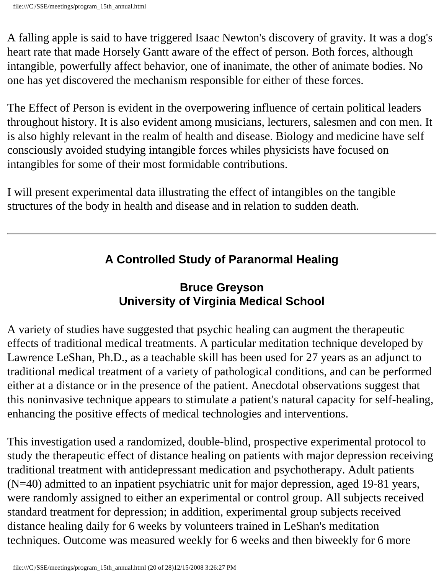A falling apple is said to have triggered Isaac Newton's discovery of gravity. It was a dog's heart rate that made Horsely Gantt aware of the effect of person. Both forces, although intangible, powerfully affect behavior, one of inanimate, the other of animate bodies. No one has yet discovered the mechanism responsible for either of these forces.

The Effect of Person is evident in the overpowering influence of certain political leaders throughout history. It is also evident among musicians, lecturers, salesmen and con men. It is also highly relevant in the realm of health and disease. Biology and medicine have self consciously avoided studying intangible forces whiles physicists have focused on intangibles for some of their most formidable contributions.

I will present experimental data illustrating the effect of intangibles on the tangible structures of the body in health and disease and in relation to sudden death.

# **A Controlled Study of Paranormal Healing**

# **Bruce Greyson University of Virginia Medical School**

A variety of studies have suggested that psychic healing can augment the therapeutic effects of traditional medical treatments. A particular meditation technique developed by Lawrence LeShan, Ph.D., as a teachable skill has been used for 27 years as an adjunct to traditional medical treatment of a variety of pathological conditions, and can be performed either at a distance or in the presence of the patient. Anecdotal observations suggest that this noninvasive technique appears to stimulate a patient's natural capacity for self-healing, enhancing the positive effects of medical technologies and interventions.

This investigation used a randomized, double-blind, prospective experimental protocol to study the therapeutic effect of distance healing on patients with major depression receiving traditional treatment with antidepressant medication and psychotherapy. Adult patients (N=40) admitted to an inpatient psychiatric unit for major depression, aged 19-81 years, were randomly assigned to either an experimental or control group. All subjects received standard treatment for depression; in addition, experimental group subjects received distance healing daily for 6 weeks by volunteers trained in LeShan's meditation techniques. Outcome was measured weekly for 6 weeks and then biweekly for 6 more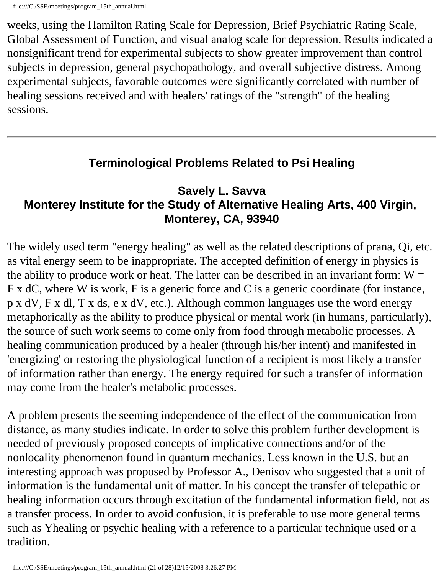weeks, using the Hamilton Rating Scale for Depression, Brief Psychiatric Rating Scale, Global Assessment of Function, and visual analog scale for depression. Results indicated a nonsignificant trend for experimental subjects to show greater improvement than control subjects in depression, general psychopathology, and overall subjective distress. Among experimental subjects, favorable outcomes were significantly correlated with number of healing sessions received and with healers' ratings of the "strength" of the healing sessions.

# **Terminological Problems Related to Psi Healing**

### **Savely L. Savva Monterey Institute for the Study of Alternative Healing Arts, 400 Virgin, Monterey, CA, 93940**

The widely used term "energy healing" as well as the related descriptions of prana, Qi, etc. as vital energy seem to be inappropriate. The accepted definition of energy in physics is the ability to produce work or heat. The latter can be described in an invariant form:  $W =$ F x dC, where W is work, F is a generic force and C is a generic coordinate (for instance, p x dV, F x dl, T x ds, e x dV, etc.). Although common languages use the word energy metaphorically as the ability to produce physical or mental work (in humans, particularly), the source of such work seems to come only from food through metabolic processes. A healing communication produced by a healer (through his/her intent) and manifested in 'energizing' or restoring the physiological function of a recipient is most likely a transfer of information rather than energy. The energy required for such a transfer of information may come from the healer's metabolic processes.

A problem presents the seeming independence of the effect of the communication from distance, as many studies indicate. In order to solve this problem further development is needed of previously proposed concepts of implicative connections and/or of the nonlocality phenomenon found in quantum mechanics. Less known in the U.S. but an interesting approach was proposed by Professor A., Denisov who suggested that a unit of information is the fundamental unit of matter. In his concept the transfer of telepathic or healing information occurs through excitation of the fundamental information field, not as a transfer process. In order to avoid confusion, it is preferable to use more general terms such as Yhealing or psychic healing with a reference to a particular technique used or a tradition.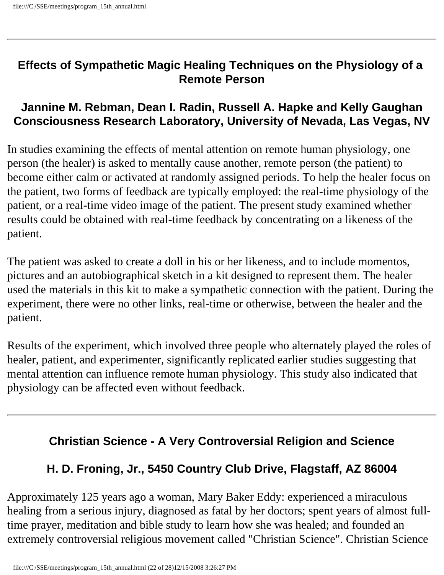#### **Effects of Sympathetic Magic Healing Techniques on the Physiology of a Remote Person**

### **Jannine M. Rebman, Dean I. Radin, Russell A. Hapke and Kelly Gaughan Consciousness Research Laboratory, University of Nevada, Las Vegas, NV**

In studies examining the effects of mental attention on remote human physiology, one person (the healer) is asked to mentally cause another, remote person (the patient) to become either calm or activated at randomly assigned periods. To help the healer focus on the patient, two forms of feedback are typically employed: the real-time physiology of the patient, or a real-time video image of the patient. The present study examined whether results could be obtained with real-time feedback by concentrating on a likeness of the patient.

The patient was asked to create a doll in his or her likeness, and to include momentos, pictures and an autobiographical sketch in a kit designed to represent them. The healer used the materials in this kit to make a sympathetic connection with the patient. During the experiment, there were no other links, real-time or otherwise, between the healer and the patient.

Results of the experiment, which involved three people who alternately played the roles of healer, patient, and experimenter, significantly replicated earlier studies suggesting that mental attention can influence remote human physiology. This study also indicated that physiology can be affected even without feedback.

# **Christian Science - A Very Controversial Religion and Science**

# **H. D. Froning, Jr., 5450 Country Club Drive, Flagstaff, AZ 86004**

Approximately 125 years ago a woman, Mary Baker Eddy: experienced a miraculous healing from a serious injury, diagnosed as fatal by her doctors; spent years of almost fulltime prayer, meditation and bible study to learn how she was healed; and founded an extremely controversial religious movement called "Christian Science". Christian Science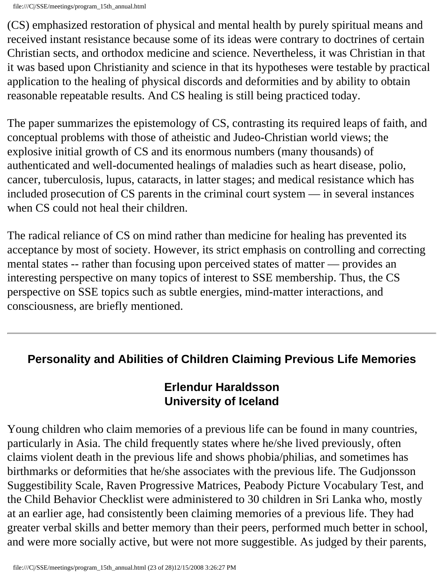(CS) emphasized restoration of physical and mental health by purely spiritual means and received instant resistance because some of its ideas were contrary to doctrines of certain Christian sects, and orthodox medicine and science. Nevertheless, it was Christian in that it was based upon Christianity and science in that its hypotheses were testable by practical application to the healing of physical discords and deformities and by ability to obtain reasonable repeatable results. And CS healing is still being practiced today.

The paper summarizes the epistemology of CS, contrasting its required leaps of faith, and conceptual problems with those of atheistic and Judeo-Christian world views; the explosive initial growth of CS and its enormous numbers (many thousands) of authenticated and well-documented healings of maladies such as heart disease, polio, cancer, tuberculosis, lupus, cataracts, in latter stages; and medical resistance which has included prosecution of CS parents in the criminal court system — in several instances when CS could not heal their children.

The radical reliance of CS on mind rather than medicine for healing has prevented its acceptance by most of society. However, its strict emphasis on controlling and correcting mental states -- rather than focusing upon perceived states of matter — provides an interesting perspective on many topics of interest to SSE membership. Thus, the CS perspective on SSE topics such as subtle energies, mind-matter interactions, and consciousness, are briefly mentioned.

# **Personality and Abilities of Children Claiming Previous Life Memories**

# **Erlendur Haraldsson University of Iceland**

Young children who claim memories of a previous life can be found in many countries, particularly in Asia. The child frequently states where he/she lived previously, often claims violent death in the previous life and shows phobia/philias, and sometimes has birthmarks or deformities that he/she associates with the previous life. The Gudjonsson Suggestibility Scale, Raven Progressive Matrices, Peabody Picture Vocabulary Test, and the Child Behavior Checklist were administered to 30 children in Sri Lanka who, mostly at an earlier age, had consistently been claiming memories of a previous life. They had greater verbal skills and better memory than their peers, performed much better in school, and were more socially active, but were not more suggestible. As judged by their parents,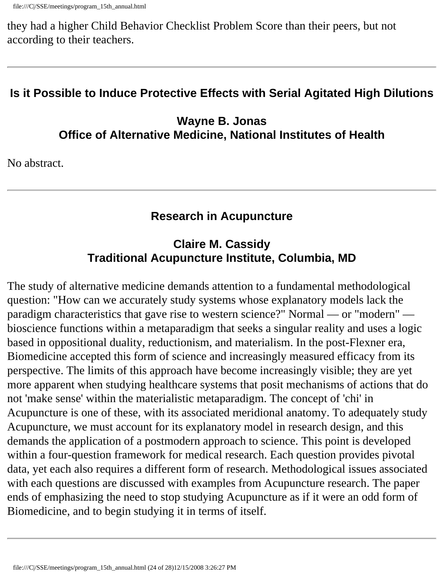they had a higher Child Behavior Checklist Problem Score than their peers, but not according to their teachers.

# **Is it Possible to Induce Protective Effects with Serial Agitated High Dilutions**

**Wayne B. Jonas Office of Alternative Medicine, National Institutes of Health** 

No abstract.

# **Research in Acupuncture**

# **Claire M. Cassidy Traditional Acupuncture Institute, Columbia, MD**

The study of alternative medicine demands attention to a fundamental methodological question: "How can we accurately study systems whose explanatory models lack the paradigm characteristics that gave rise to western science?" Normal — or "modern" bioscience functions within a metaparadigm that seeks a singular reality and uses a logic based in oppositional duality, reductionism, and materialism. In the post-Flexner era, Biomedicine accepted this form of science and increasingly measured efficacy from its perspective. The limits of this approach have become increasingly visible; they are yet more apparent when studying healthcare systems that posit mechanisms of actions that do not 'make sense' within the materialistic metaparadigm. The concept of 'chi' in Acupuncture is one of these, with its associated meridional anatomy. To adequately study Acupuncture, we must account for its explanatory model in research design, and this demands the application of a postmodern approach to science. This point is developed within a four-question framework for medical research. Each question provides pivotal data, yet each also requires a different form of research. Methodological issues associated with each questions are discussed with examples from Acupuncture research. The paper ends of emphasizing the need to stop studying Acupuncture as if it were an odd form of Biomedicine, and to begin studying it in terms of itself.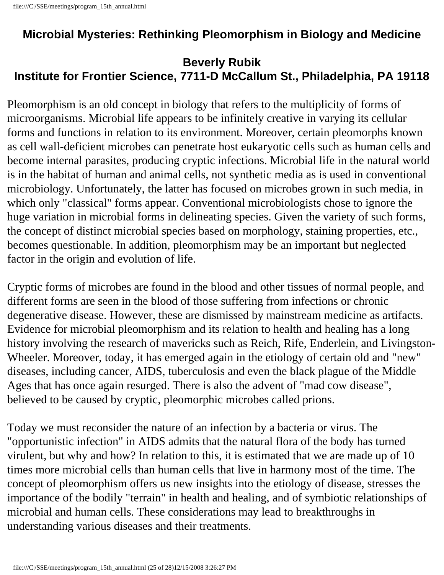### **Microbial Mysteries: Rethinking Pleomorphism in Biology and Medicine**

### **Beverly Rubik Institute for Frontier Science, 7711-D McCallum St., Philadelphia, PA 19118**

Pleomorphism is an old concept in biology that refers to the multiplicity of forms of microorganisms. Microbial life appears to be infinitely creative in varying its cellular forms and functions in relation to its environment. Moreover, certain pleomorphs known as cell wall-deficient microbes can penetrate host eukaryotic cells such as human cells and become internal parasites, producing cryptic infections. Microbial life in the natural world is in the habitat of human and animal cells, not synthetic media as is used in conventional microbiology. Unfortunately, the latter has focused on microbes grown in such media, in which only "classical" forms appear. Conventional microbiologists chose to ignore the huge variation in microbial forms in delineating species. Given the variety of such forms, the concept of distinct microbial species based on morphology, staining properties, etc., becomes questionable. In addition, pleomorphism may be an important but neglected factor in the origin and evolution of life.

Cryptic forms of microbes are found in the blood and other tissues of normal people, and different forms are seen in the blood of those suffering from infections or chronic degenerative disease. However, these are dismissed by mainstream medicine as artifacts. Evidence for microbial pleomorphism and its relation to health and healing has a long history involving the research of mavericks such as Reich, Rife, Enderlein, and Livingston-Wheeler. Moreover, today, it has emerged again in the etiology of certain old and "new" diseases, including cancer, AIDS, tuberculosis and even the black plague of the Middle Ages that has once again resurged. There is also the advent of "mad cow disease", believed to be caused by cryptic, pleomorphic microbes called prions.

Today we must reconsider the nature of an infection by a bacteria or virus. The "opportunistic infection" in AIDS admits that the natural flora of the body has turned virulent, but why and how? In relation to this, it is estimated that we are made up of 10 times more microbial cells than human cells that live in harmony most of the time. The concept of pleomorphism offers us new insights into the etiology of disease, stresses the importance of the bodily "terrain" in health and healing, and of symbiotic relationships of microbial and human cells. These considerations may lead to breakthroughs in understanding various diseases and their treatments.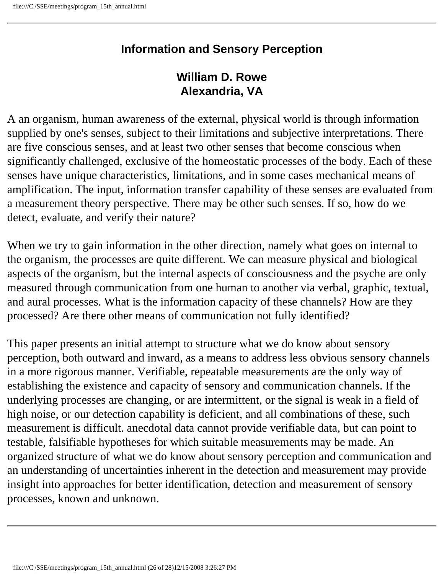### **Information and Sensory Perception**

#### **William D. Rowe Alexandria, VA**

A an organism, human awareness of the external, physical world is through information supplied by one's senses, subject to their limitations and subjective interpretations. There are five conscious senses, and at least two other senses that become conscious when significantly challenged, exclusive of the homeostatic processes of the body. Each of these senses have unique characteristics, limitations, and in some cases mechanical means of amplification. The input, information transfer capability of these senses are evaluated from a measurement theory perspective. There may be other such senses. If so, how do we detect, evaluate, and verify their nature?

When we try to gain information in the other direction, namely what goes on internal to the organism, the processes are quite different. We can measure physical and biological aspects of the organism, but the internal aspects of consciousness and the psyche are only measured through communication from one human to another via verbal, graphic, textual, and aural processes. What is the information capacity of these channels? How are they processed? Are there other means of communication not fully identified?

This paper presents an initial attempt to structure what we do know about sensory perception, both outward and inward, as a means to address less obvious sensory channels in a more rigorous manner. Verifiable, repeatable measurements are the only way of establishing the existence and capacity of sensory and communication channels. If the underlying processes are changing, or are intermittent, or the signal is weak in a field of high noise, or our detection capability is deficient, and all combinations of these, such measurement is difficult. anecdotal data cannot provide verifiable data, but can point to testable, falsifiable hypotheses for which suitable measurements may be made. An organized structure of what we do know about sensory perception and communication and an understanding of uncertainties inherent in the detection and measurement may provide insight into approaches for better identification, detection and measurement of sensory processes, known and unknown.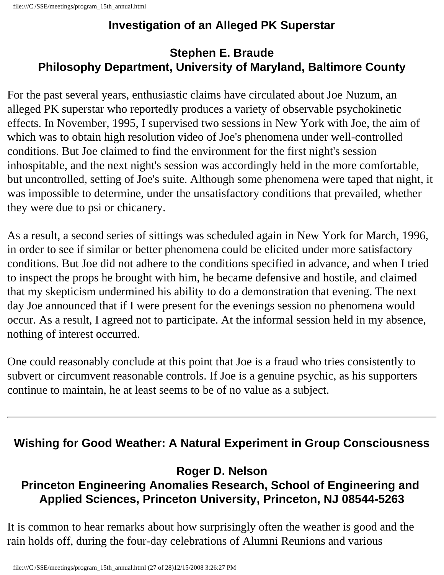# **Investigation of an Alleged PK Superstar**

# **Stephen E. Braude Philosophy Department, University of Maryland, Baltimore County**

For the past several years, enthusiastic claims have circulated about Joe Nuzum, an alleged PK superstar who reportedly produces a variety of observable psychokinetic effects. In November, 1995, I supervised two sessions in New York with Joe, the aim of which was to obtain high resolution video of Joe's phenomena under well-controlled conditions. But Joe claimed to find the environment for the first night's session inhospitable, and the next night's session was accordingly held in the more comfortable, but uncontrolled, setting of Joe's suite. Although some phenomena were taped that night, it was impossible to determine, under the unsatisfactory conditions that prevailed, whether they were due to psi or chicanery.

As a result, a second series of sittings was scheduled again in New York for March, 1996, in order to see if similar or better phenomena could be elicited under more satisfactory conditions. But Joe did not adhere to the conditions specified in advance, and when I tried to inspect the props he brought with him, he became defensive and hostile, and claimed that my skepticism undermined his ability to do a demonstration that evening. The next day Joe announced that if I were present for the evenings session no phenomena would occur. As a result, I agreed not to participate. At the informal session held in my absence, nothing of interest occurred.

One could reasonably conclude at this point that Joe is a fraud who tries consistently to subvert or circumvent reasonable controls. If Joe is a genuine psychic, as his supporters continue to maintain, he at least seems to be of no value as a subject.

# **Wishing for Good Weather: A Natural Experiment in Group Consciousness**

### **Roger D. Nelson Princeton Engineering Anomalies Research, School of Engineering and Applied Sciences, Princeton University, Princeton, NJ 08544-5263**

It is common to hear remarks about how surprisingly often the weather is good and the rain holds off, during the four-day celebrations of Alumni Reunions and various